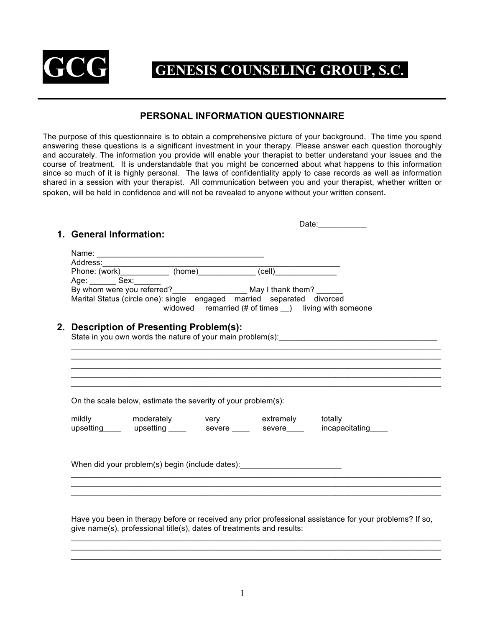

# **GENESIS COUNSELING GROUP, S.C.**

## **PERSONAL INFORMATION QUESTIONNAIRE**

The purpose of this questionnaire is to obtain a comprehensive picture of your background. The time you spend answering these questions is a significant investment in your therapy. Please answer each question thoroughly and accurately. The information you provide will enable your therapist to better understand your issues and the course of treatment. It is understandable that you might be concerned about what happens to this information since so much of it is highly personal. The laws of confidentiality apply to case records as well as information shared in a session with your therapist. All communication between you and your therapist, whether written or spoken, will be held in confidence and will not be revealed to anyone without your written consent.

| 1. General Information: |                                                                                  |  |                                                                                                                                                                                                                                |
|-------------------------|----------------------------------------------------------------------------------|--|--------------------------------------------------------------------------------------------------------------------------------------------------------------------------------------------------------------------------------|
|                         |                                                                                  |  |                                                                                                                                                                                                                                |
|                         |                                                                                  |  |                                                                                                                                                                                                                                |
|                         |                                                                                  |  |                                                                                                                                                                                                                                |
| Age: Sex:               |                                                                                  |  |                                                                                                                                                                                                                                |
|                         |                                                                                  |  |                                                                                                                                                                                                                                |
|                         | Marital Status (circle one): single engaged married separated divorced           |  |                                                                                                                                                                                                                                |
|                         |                                                                                  |  | widowed remarried (# of times _) living with someone                                                                                                                                                                           |
|                         |                                                                                  |  |                                                                                                                                                                                                                                |
|                         | 2. Description of Presenting Problem(s):                                         |  | State in you own words the nature of your main problem(s): example and an approximate of the state of the state of the state of the state of the state of the state of the state of the state of the state of the state of the |
|                         |                                                                                  |  |                                                                                                                                                                                                                                |
|                         |                                                                                  |  |                                                                                                                                                                                                                                |
|                         |                                                                                  |  |                                                                                                                                                                                                                                |
|                         |                                                                                  |  |                                                                                                                                                                                                                                |
|                         |                                                                                  |  |                                                                                                                                                                                                                                |
|                         |                                                                                  |  |                                                                                                                                                                                                                                |
|                         | On the scale below, estimate the severity of your problem(s):                    |  |                                                                                                                                                                                                                                |
|                         | mildly moderately very extremely totally                                         |  |                                                                                                                                                                                                                                |
|                         |                                                                                  |  | upsetting ____ upsetting _____ severe ____ severe ____ incapacitating ___                                                                                                                                                      |
|                         |                                                                                  |  |                                                                                                                                                                                                                                |
|                         |                                                                                  |  |                                                                                                                                                                                                                                |
|                         |                                                                                  |  |                                                                                                                                                                                                                                |
|                         | When did your problem(s) begin (include dates): ________________________________ |  |                                                                                                                                                                                                                                |
|                         |                                                                                  |  |                                                                                                                                                                                                                                |
|                         |                                                                                  |  |                                                                                                                                                                                                                                |
|                         |                                                                                  |  |                                                                                                                                                                                                                                |
|                         |                                                                                  |  |                                                                                                                                                                                                                                |
|                         |                                                                                  |  | Have you been in therapy before or received any prior professional assistance for your problems? If so,                                                                                                                        |

give name(s), professional title(s), dates of treatments and results:

 $\mathcal{L}_\mathcal{L} = \{ \mathcal{L}_\mathcal{L} = \{ \mathcal{L}_\mathcal{L} = \{ \mathcal{L}_\mathcal{L} = \{ \mathcal{L}_\mathcal{L} = \{ \mathcal{L}_\mathcal{L} = \{ \mathcal{L}_\mathcal{L} = \{ \mathcal{L}_\mathcal{L} = \{ \mathcal{L}_\mathcal{L} = \{ \mathcal{L}_\mathcal{L} = \{ \mathcal{L}_\mathcal{L} = \{ \mathcal{L}_\mathcal{L} = \{ \mathcal{L}_\mathcal{L} = \{ \mathcal{L}_\mathcal{L} = \{ \mathcal{L}_\mathcal{$  $\mathcal{L}_\mathcal{L} = \{ \mathcal{L}_\mathcal{L} = \{ \mathcal{L}_\mathcal{L} = \{ \mathcal{L}_\mathcal{L} = \{ \mathcal{L}_\mathcal{L} = \{ \mathcal{L}_\mathcal{L} = \{ \mathcal{L}_\mathcal{L} = \{ \mathcal{L}_\mathcal{L} = \{ \mathcal{L}_\mathcal{L} = \{ \mathcal{L}_\mathcal{L} = \{ \mathcal{L}_\mathcal{L} = \{ \mathcal{L}_\mathcal{L} = \{ \mathcal{L}_\mathcal{L} = \{ \mathcal{L}_\mathcal{L} = \{ \mathcal{L}_\mathcal{$  $\mathcal{L}_\mathcal{L} = \{ \mathcal{L}_\mathcal{L} = \{ \mathcal{L}_\mathcal{L} = \{ \mathcal{L}_\mathcal{L} = \{ \mathcal{L}_\mathcal{L} = \{ \mathcal{L}_\mathcal{L} = \{ \mathcal{L}_\mathcal{L} = \{ \mathcal{L}_\mathcal{L} = \{ \mathcal{L}_\mathcal{L} = \{ \mathcal{L}_\mathcal{L} = \{ \mathcal{L}_\mathcal{L} = \{ \mathcal{L}_\mathcal{L} = \{ \mathcal{L}_\mathcal{L} = \{ \mathcal{L}_\mathcal{L} = \{ \mathcal{L}_\mathcal{$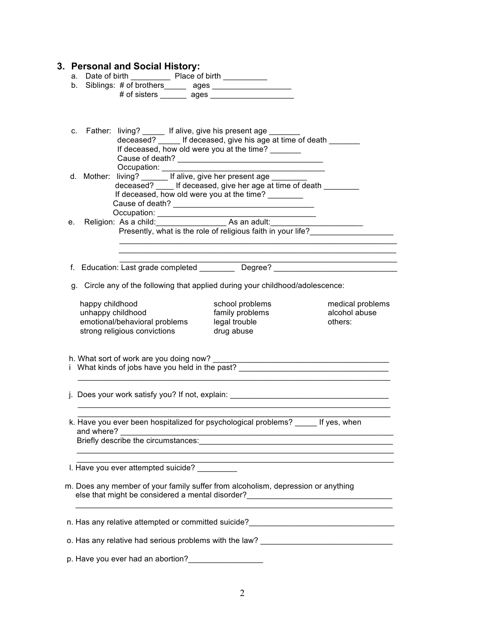|                                      |                                                                                           | b. Siblings: # of brothers______ ages ___________________                                                                                                                                                                   |                                                                                                       |
|--------------------------------------|-------------------------------------------------------------------------------------------|-----------------------------------------------------------------------------------------------------------------------------------------------------------------------------------------------------------------------------|-------------------------------------------------------------------------------------------------------|
|                                      |                                                                                           |                                                                                                                                                                                                                             |                                                                                                       |
|                                      |                                                                                           | c. Father: living? ______ If alive, give his present age ________<br>deceased? ______ If deceased, give his age at time of death                                                                                            |                                                                                                       |
|                                      | Occupation: _______                                                                       | If deceased, how old were you at the time?                                                                                                                                                                                  |                                                                                                       |
|                                      |                                                                                           | d. Mother: living? If alive, give her present age _______________________________<br>deceased? ______ If deceased, give her age at time of death ____________________<br>If deceased, how old were you at the time? _______ |                                                                                                       |
|                                      |                                                                                           | Presently, what is the role of religious faith in your life?                                                                                                                                                                |                                                                                                       |
|                                      |                                                                                           |                                                                                                                                                                                                                             |                                                                                                       |
|                                      |                                                                                           | f. Education: Last grade completed Degree? Degree?                                                                                                                                                                          |                                                                                                       |
|                                      |                                                                                           |                                                                                                                                                                                                                             |                                                                                                       |
|                                      |                                                                                           | g. Circle any of the following that applied during your childhood/adolescence:                                                                                                                                              |                                                                                                       |
| happy childhood<br>unhappy childhood | emotional/behavioral problems legal trouble<br>strong religious convictions by drug abuse | school problems<br>family problems                                                                                                                                                                                          | alcohol abuse<br>others:                                                                              |
|                                      |                                                                                           |                                                                                                                                                                                                                             | i What kinds of jobs have you held in the past?                                                       |
|                                      |                                                                                           |                                                                                                                                                                                                                             |                                                                                                       |
| and where?                           |                                                                                           | k. Have you ever been hospitalized for psychological problems? If yes, when                                                                                                                                                 |                                                                                                       |
|                                      |                                                                                           |                                                                                                                                                                                                                             | medical problems<br>j. Does your work satisfy you? If not, explain: _________________________________ |
|                                      | I. Have you ever attempted suicide?                                                       |                                                                                                                                                                                                                             |                                                                                                       |

o. Has any relative had serious problems with the law? \_\_\_\_\_\_\_\_\_\_\_\_\_\_\_\_\_\_\_\_\_\_\_\_\_

p. Have you ever had an abortion?\_\_\_\_\_\_\_\_\_\_\_\_\_\_\_\_\_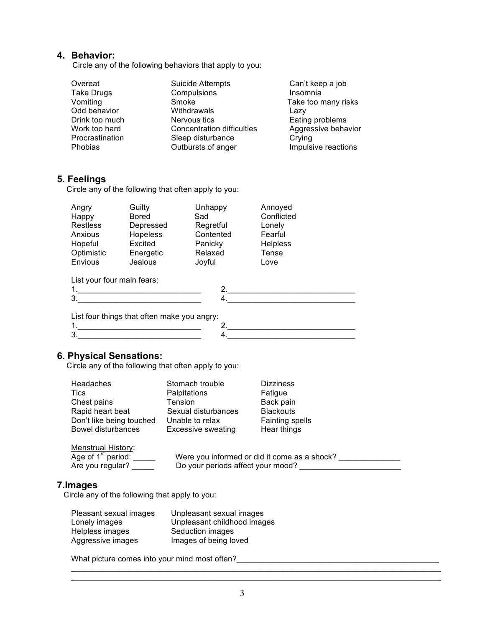# **4. Behavior:**

Circle any of the following behaviors that apply to you:

| Overeat           | <b>Suicide Attempts</b>           | Can't keep a job    |
|-------------------|-----------------------------------|---------------------|
| <b>Take Drugs</b> | Compulsions                       | Insomnia            |
| Vomiting          | Smoke                             | Take too many risks |
| Odd behavior      | Withdrawals                       | Lazy                |
| Drink too much    | Nervous tics                      | Eating problems     |
| Work too hard     | <b>Concentration difficulties</b> | Aggressive behavior |
| Procrastination   | Sleep disturbance                 | Crying              |
| Phobias           | Outbursts of anger                | Impulsive reactions |

# **5. Feelings**

Circle any of the following that often apply to you:

| Angry                      | Guilty                                      | Unhappy   | Annoyed         |  |
|----------------------------|---------------------------------------------|-----------|-----------------|--|
| Happy                      | <b>Bored</b>                                | Sad       | Conflicted      |  |
| <b>Restless</b>            | Depressed                                   | Regretful | Lonely          |  |
| Anxious                    | <b>Hopeless</b>                             | Contented | Fearful         |  |
| Hopeful                    | Excited                                     | Panicky   | <b>Helpless</b> |  |
| Optimistic                 | Energetic                                   | Relaxed   | Tense           |  |
| Envious                    | Jealous                                     | Joyful    | Love            |  |
| List your four main fears: |                                             |           |                 |  |
| 1.                         |                                             | 2.        |                 |  |
| 3.                         |                                             | 4.        |                 |  |
|                            |                                             |           |                 |  |
|                            | List four things that often make you angry: |           |                 |  |
|                            |                                             |           |                 |  |

**6. Physical Sensations:** Circle any of the following that often apply to you:

| Headaches                                                             | Stomach trouble                                                                   | <b>Dizziness</b> |
|-----------------------------------------------------------------------|-----------------------------------------------------------------------------------|------------------|
| Tics                                                                  | Palpitations                                                                      | Fatigue          |
| Chest pains                                                           | Tension                                                                           | Back pain        |
| Rapid heart beat                                                      | Sexual disturbances                                                               | <b>Blackouts</b> |
| Don't like being touched                                              | Unable to relax                                                                   | Fainting spells  |
| <b>Bowel disturbances</b>                                             | Excessive sweating                                                                | Hear things      |
| <b>Menstrual History:</b><br>Age of $1st$ period:<br>Are you regular? | Were you informed or did it come as a shock?<br>Do your periods affect your mood? |                  |

# **7.Images**

Circle any of the following that apply to you:

| Pleasant sexual images | Unpleasant sexual images    |
|------------------------|-----------------------------|
| Lonely images          | Unpleasant childhood images |
| Helpless images        | Seduction images            |
| Aggressive images      | Images of being loved       |

What picture comes into your mind most often?\_\_\_\_\_\_\_\_\_\_\_\_\_\_\_\_\_\_\_\_\_\_\_\_\_\_\_\_\_\_\_\_\_\_\_\_\_\_\_\_\_\_\_\_\_\_

 $\mathcal{L}_\mathcal{L} = \{ \mathcal{L}_\mathcal{L} = \{ \mathcal{L}_\mathcal{L} = \{ \mathcal{L}_\mathcal{L} = \{ \mathcal{L}_\mathcal{L} = \{ \mathcal{L}_\mathcal{L} = \{ \mathcal{L}_\mathcal{L} = \{ \mathcal{L}_\mathcal{L} = \{ \mathcal{L}_\mathcal{L} = \{ \mathcal{L}_\mathcal{L} = \{ \mathcal{L}_\mathcal{L} = \{ \mathcal{L}_\mathcal{L} = \{ \mathcal{L}_\mathcal{L} = \{ \mathcal{L}_\mathcal{L} = \{ \mathcal{L}_\mathcal{$  $\mathcal{L}_\mathcal{L} = \{ \mathcal{L}_\mathcal{L} = \{ \mathcal{L}_\mathcal{L} = \{ \mathcal{L}_\mathcal{L} = \{ \mathcal{L}_\mathcal{L} = \{ \mathcal{L}_\mathcal{L} = \{ \mathcal{L}_\mathcal{L} = \{ \mathcal{L}_\mathcal{L} = \{ \mathcal{L}_\mathcal{L} = \{ \mathcal{L}_\mathcal{L} = \{ \mathcal{L}_\mathcal{L} = \{ \mathcal{L}_\mathcal{L} = \{ \mathcal{L}_\mathcal{L} = \{ \mathcal{L}_\mathcal{L} = \{ \mathcal{L}_\mathcal{$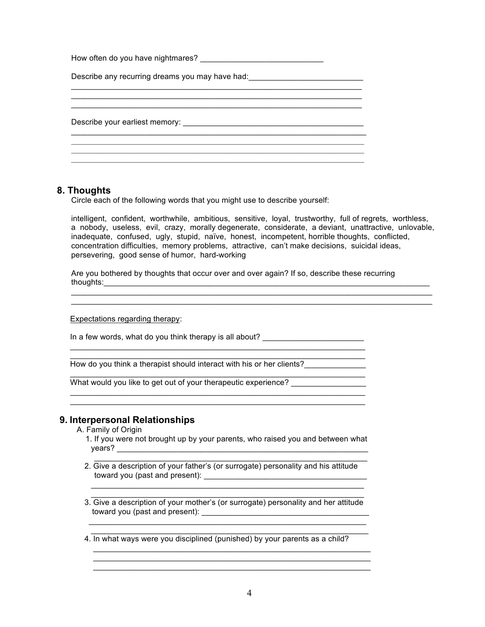| Describe any recurring dreams you may have had: ________________________________ |  |
|----------------------------------------------------------------------------------|--|
|                                                                                  |  |
|                                                                                  |  |
|                                                                                  |  |

#### **8. Thoughts**

Circle each of the following words that you might use to describe yourself:

intelligent, confident, worthwhile, ambitious, sensitive, loyal, trustworthy, full of regrets, worthless, a nobody, useless, evil, crazy, morally degenerate, considerate, a deviant, unattractive, unlovable, inadequate, confused, ugly, stupid, naïve, honest, incompetent, horrible thoughts, conflicted, concentration difficulties, memory problems, attractive, can't make decisions, suicidal ideas, persevering, good sense of humor, hard-working

 $\mathcal{L}_\mathcal{L} = \{ \mathcal{L}_\mathcal{L} = \{ \mathcal{L}_\mathcal{L} = \{ \mathcal{L}_\mathcal{L} = \{ \mathcal{L}_\mathcal{L} = \{ \mathcal{L}_\mathcal{L} = \{ \mathcal{L}_\mathcal{L} = \{ \mathcal{L}_\mathcal{L} = \{ \mathcal{L}_\mathcal{L} = \{ \mathcal{L}_\mathcal{L} = \{ \mathcal{L}_\mathcal{L} = \{ \mathcal{L}_\mathcal{L} = \{ \mathcal{L}_\mathcal{L} = \{ \mathcal{L}_\mathcal{L} = \{ \mathcal{L}_\mathcal{$  $\mathcal{L}_\mathcal{L} = \{ \mathcal{L}_\mathcal{L} = \{ \mathcal{L}_\mathcal{L} = \{ \mathcal{L}_\mathcal{L} = \{ \mathcal{L}_\mathcal{L} = \{ \mathcal{L}_\mathcal{L} = \{ \mathcal{L}_\mathcal{L} = \{ \mathcal{L}_\mathcal{L} = \{ \mathcal{L}_\mathcal{L} = \{ \mathcal{L}_\mathcal{L} = \{ \mathcal{L}_\mathcal{L} = \{ \mathcal{L}_\mathcal{L} = \{ \mathcal{L}_\mathcal{L} = \{ \mathcal{L}_\mathcal{L} = \{ \mathcal{L}_\mathcal{$ 

Are you bothered by thoughts that occur over and over again? If so, describe these recurring thoughts:\_\_\_\_\_\_\_\_\_\_\_\_\_\_\_\_\_\_\_\_\_\_\_\_\_\_\_\_\_\_\_\_\_\_\_\_\_\_\_\_\_\_\_\_\_\_\_\_\_\_\_\_\_\_\_\_\_\_\_\_\_\_\_\_\_\_\_\_\_\_\_\_\_\_

Expectations regarding therapy:

In a few words, what do you think therapy is all about? \_\_\_\_\_\_\_\_\_\_\_\_\_\_\_\_\_\_\_\_\_\_\_\_

How do you think a therapist should interact with his or her clients?

 $\mathcal{L}_\text{max}$  , and the set of the set of the set of the set of the set of the set of the set of the set of the set of  $\mathcal{L}_\text{max}$  , and the set of the set of the set of the set of the set of the set of the set of the set of the set of

 $\mathcal{L}=\underbrace{\mathcal{L}=\mathcal{L}=\mathcal{L}=\mathcal{L}=\mathcal{L}=\mathcal{L}=\mathcal{L}=\mathcal{L}=\mathcal{L}=\mathcal{L}=\mathcal{L}=\mathcal{L}=\mathcal{L}=\mathcal{L}=\mathcal{L}=\mathcal{L}=\mathcal{L}=\mathcal{L}=\mathcal{L}=\mathcal{L}=\mathcal{L}=\mathcal{L}=\mathcal{L}=\mathcal{L}=\mathcal{L}=\mathcal{L}=\mathcal{L}=\mathcal{L}=\mathcal{L}=\mathcal{L}=\mathcal{L}=\mathcal{L}=\mathcal{L}=\mathcal{L}=\mathcal{L}=\$ 

 $\mathcal{L}=\underbrace{\mathcal{L}=\mathcal{L}=\mathcal{L}=\mathcal{L}=\mathcal{L}=\mathcal{L}=\mathcal{L}=\mathcal{L}=\mathcal{L}=\mathcal{L}=\mathcal{L}=\mathcal{L}=\mathcal{L}=\mathcal{L}=\mathcal{L}=\mathcal{L}=\mathcal{L}=\mathcal{L}=\mathcal{L}=\mathcal{L}=\mathcal{L}=\mathcal{L}=\mathcal{L}=\mathcal{L}=\mathcal{L}=\mathcal{L}=\mathcal{L}=\mathcal{L}=\mathcal{L}=\mathcal{L}=\mathcal{L}=\mathcal{L}=\mathcal{L}=\mathcal{L}=\mathcal{L}=\$  $\mathcal{L}=\underbrace{\mathcal{L}=\mathcal{L}=\mathcal{L}=\mathcal{L}=\mathcal{L}=\mathcal{L}=\mathcal{L}=\mathcal{L}=\mathcal{L}=\mathcal{L}=\mathcal{L}=\mathcal{L}=\mathcal{L}=\mathcal{L}=\mathcal{L}=\mathcal{L}=\mathcal{L}=\mathcal{L}=\mathcal{L}=\mathcal{L}=\mathcal{L}=\mathcal{L}=\mathcal{L}=\mathcal{L}=\mathcal{L}=\mathcal{L}=\mathcal{L}=\mathcal{L}=\mathcal{L}=\mathcal{L}=\mathcal{L}=\mathcal{L}=\mathcal{L}=\mathcal{L}=\mathcal{L}=\$ 

What would you like to get out of your therapeutic experience?

### **9. Interpersonal Relationships**

- A. Family of Origin
	- 1. If you were not brought up by your parents, who raised you and between what years? \_\_\_\_\_\_\_\_\_\_\_\_\_\_\_\_\_\_\_\_\_\_\_\_\_\_\_\_\_\_\_\_\_\_\_\_\_\_\_\_\_\_\_\_\_\_\_\_\_\_\_\_\_\_\_\_\_  $\overline{\phantom{a}}$  ,  $\overline{\phantom{a}}$  ,  $\overline{\phantom{a}}$  ,  $\overline{\phantom{a}}$  ,  $\overline{\phantom{a}}$  ,  $\overline{\phantom{a}}$  ,  $\overline{\phantom{a}}$  ,  $\overline{\phantom{a}}$  ,  $\overline{\phantom{a}}$  ,  $\overline{\phantom{a}}$  ,  $\overline{\phantom{a}}$  ,  $\overline{\phantom{a}}$  ,  $\overline{\phantom{a}}$  ,  $\overline{\phantom{a}}$  ,  $\overline{\phantom{a}}$  ,  $\overline{\phantom{a}}$
	- 2. Give a description of your father's (or surrogate) personality and his attitude toward you (past and present): \_\_\_\_\_\_\_\_\_\_\_\_\_\_\_\_\_\_\_\_\_\_\_\_\_\_\_\_\_\_\_\_\_\_\_\_\_

 $\mathcal{L}=\frac{1}{2}$  , where  $\mathcal{L}=\frac{1}{2}$  , where  $\mathcal{L}=\frac{1}{2}$  , where  $\mathcal{L}=\frac{1}{2}$  , where  $\mathcal{L}=\frac{1}{2}$  , where  $\mathcal{L}=\frac{1}{2}$  $\mathcal{L}=\frac{1}{2}$  , where  $\mathcal{L}=\frac{1}{2}$  , where  $\mathcal{L}=\frac{1}{2}$  , where  $\mathcal{L}=\frac{1}{2}$  , where  $\mathcal{L}=\frac{1}{2}$  , where  $\mathcal{L}=\frac{1}{2}$ 

- 3. Give a description of your mother's (or surrogate) personality and her attitude toward you (past and present): \_\_\_\_\_\_\_\_\_\_\_\_\_\_\_\_\_\_\_\_\_\_\_\_\_\_\_\_\_\_\_\_\_\_\_\_\_\_
- $\mathcal{L}=\mathcal{L}$  , where  $\mathcal{L}=\mathcal{L}$  , we are the set of the set of the set of the set of the set of the set of the set of the set of the set of the set of the set of the set of the set of the set of the set of the set o 4. In what ways were you disciplined (punished) by your parents as a child?  $\mathcal{L}_\mathcal{L} = \mathcal{L}_\mathcal{L} - \mathcal{L}_\mathcal{L}$  , where  $\mathcal{L}_\mathcal{L}$  is the set of the set of the set of the set of the set of the set of the set of the set of the set of the set of the set of the set of the set of the set of

 $\mathcal{L}_\text{max} = \frac{1}{2} \sum_{i=1}^{n} \frac{1}{2} \sum_{i=1}^{n} \frac{1}{2} \sum_{i=1}^{n} \frac{1}{2} \sum_{i=1}^{n} \frac{1}{2} \sum_{i=1}^{n} \frac{1}{2} \sum_{i=1}^{n} \frac{1}{2} \sum_{i=1}^{n} \frac{1}{2} \sum_{i=1}^{n} \frac{1}{2} \sum_{i=1}^{n} \frac{1}{2} \sum_{i=1}^{n} \frac{1}{2} \sum_{i=1}^{n} \frac{1}{2} \sum_{i=1}^{n} \frac{1$  $\mathcal{L}_\text{max} = \frac{1}{2} \sum_{i=1}^n \mathcal{L}_i \mathcal{L}_i + \mathcal{L}_i \mathcal{L}_i + \mathcal{L}_i \mathcal{L}_i + \mathcal{L}_i \mathcal{L}_i + \mathcal{L}_i \mathcal{L}_i + \mathcal{L}_i \mathcal{L}_i + \mathcal{L}_i \mathcal{L}_i + \mathcal{L}_i \mathcal{L}_i + \mathcal{L}_i \mathcal{L}_i + \mathcal{L}_i \mathcal{L}_i + \mathcal{L}_i \mathcal{L}_i + \mathcal{L}_i \mathcal{L}_i + \mathcal{L}_i \mathcal{L$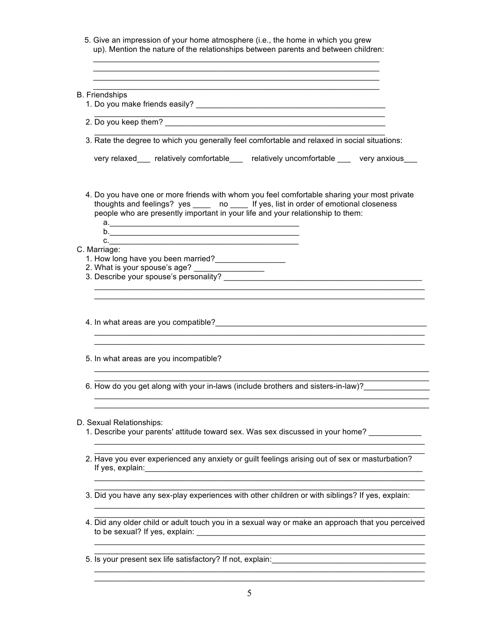| <b>B.</b> Friendships                                                                                                                                                                                                                                                   |
|-------------------------------------------------------------------------------------------------------------------------------------------------------------------------------------------------------------------------------------------------------------------------|
|                                                                                                                                                                                                                                                                         |
| 3. Rate the degree to which you generally feel comfortable and relaxed in social situations:                                                                                                                                                                            |
| very relaxed___ relatively comfortable___ relatively uncomfortable ___ very anxious___                                                                                                                                                                                  |
| 4. Do you have one or more friends with whom you feel comfortable sharing your most private<br>thoughts and feelings? yes _____ no _____ If yes, list in order of emotional closeness<br>people who are presently important in your life and your relationship to them: |
| C.<br>C. Marriage:                                                                                                                                                                                                                                                      |
| 1. How long have you been married?<br>2. What is your spouse's age? _________________                                                                                                                                                                                   |
|                                                                                                                                                                                                                                                                         |
|                                                                                                                                                                                                                                                                         |
| 4. In what areas are you compatible?<br>and the contract of the contract of the contract of the contract of the contract of the contract of the contract of the contract of the contract of the contract of the contract of the                                         |
| 5. In what areas are you incompatible?                                                                                                                                                                                                                                  |
| 6. How do you get along with your in-laws (include brothers and sisters-in-law)?                                                                                                                                                                                        |
| D. Sexual Relationships:                                                                                                                                                                                                                                                |
| 1. Describe your parents' attitude toward sex. Was sex discussed in your home?                                                                                                                                                                                          |
| 2. Have you ever experienced any anxiety or guilt feelings arising out of sex or masturbation?                                                                                                                                                                          |

5. Is your present sex life satisfactory? If not, explain:\_\_\_\_\_\_\_\_\_\_\_\_\_\_\_\_\_\_\_\_\_\_\_\_\_\_\_\_\_\_\_\_\_\_\_

 $\mathcal{L}_\text{max}$  , and the set of the set of the set of the set of the set of the set of the set of the set of the set of the set of the set of the set of the set of the set of the set of the set of the set of the set of the \_\_\_\_\_\_\_\_\_\_\_\_\_\_\_\_\_\_\_\_\_\_\_\_\_\_\_\_\_\_\_\_\_\_\_\_\_\_\_\_\_\_\_\_\_\_\_\_\_\_\_\_\_\_\_\_\_\_\_\_\_\_\_\_\_\_\_\_\_\_\_\_\_\_\_